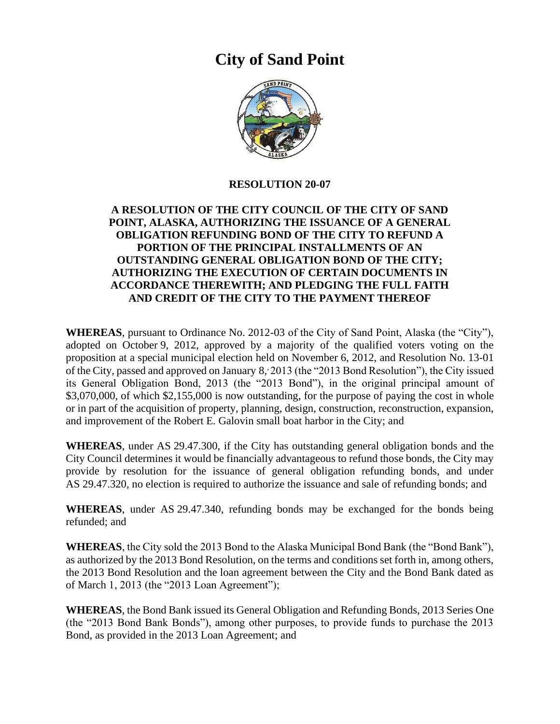# **City of Sand Point**



#### **RESOLUTION 20-07**

## **A RESOLUTION OF THE CITY COUNCIL OF THE CITY OF SAND POINT, ALASKA, AUTHORIZING THE ISSUANCE OF A GENERAL OBLIGATION REFUNDING BOND OF THE CITY TO REFUND A PORTION OF THE PRINCIPAL INSTALLMENTS OF AN OUTSTANDING GENERAL OBLIGATION BOND OF THE CITY; AUTHORIZING THE EXECUTION OF CERTAIN DOCUMENTS IN ACCORDANCE THEREWITH; AND PLEDGING THE FULL FAITH AND CREDIT OF THE CITY TO THE PAYMENT THEREOF**

**WHEREAS**, pursuant to Ordinance No. 2012-03 of the City of Sand Point, Alaska (the "City"), adopted on October 9, 2012, approved by a majority of the qualified voters voting on the proposition at a special municipal election held on November 6, 2012, and Resolution No. 13-01 of the City, passed and approved on January 8, 2013 (the "2013 Bond Resolution"), the City issued its General Obligation Bond, 2013 (the "2013 Bond"), in the original principal amount of \$3,070,000, of which \$2,155,000 is now outstanding, for the purpose of paying the cost in whole or in part of the acquisition of property, planning, design, construction, reconstruction, expansion, and improvement of the Robert E. Galovin small boat harbor in the City; and

**WHEREAS**, under AS 29.47.300, if the City has outstanding general obligation bonds and the City Council determines it would be financially advantageous to refund those bonds, the City may provide by resolution for the issuance of general obligation refunding bonds, and under AS 29.47.320, no election is required to authorize the issuance and sale of refunding bonds; and

**WHEREAS**, under AS 29.47.340, refunding bonds may be exchanged for the bonds being refunded; and

**WHEREAS**, the City sold the 2013 Bond to the Alaska Municipal Bond Bank (the "Bond Bank"), as authorized by the 2013 Bond Resolution, on the terms and conditions set forth in, among others, the 2013 Bond Resolution and the loan agreement between the City and the Bond Bank dated as of March 1, 2013 (the "2013 Loan Agreement");

**WHEREAS**, the Bond Bank issued its General Obligation and Refunding Bonds, 2013 Series One (the "2013 Bond Bank Bonds"), among other purposes, to provide funds to purchase the 2013 Bond, as provided in the 2013 Loan Agreement; and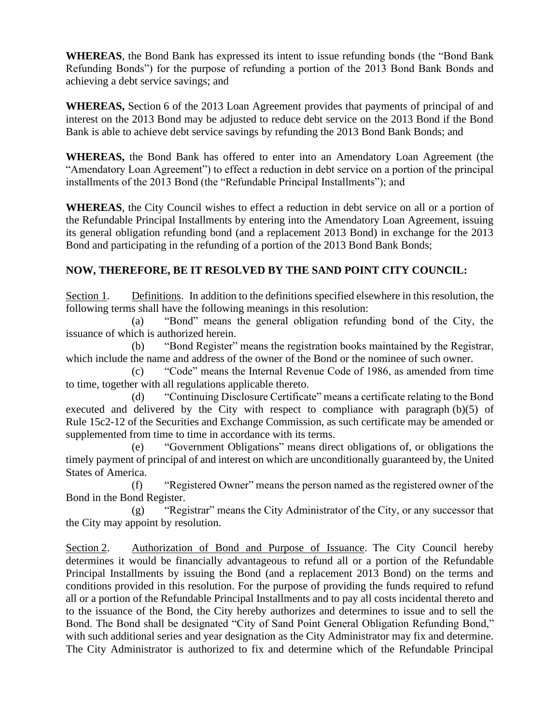**WHEREAS**, the Bond Bank has expressed its intent to issue refunding bonds (the "Bond Bank Refunding Bonds") for the purpose of refunding a portion of the 2013 Bond Bank Bonds and achieving a debt service savings; and

**WHEREAS,** Section 6 of the 2013 Loan Agreement provides that payments of principal of and interest on the 2013 Bond may be adjusted to reduce debt service on the 2013 Bond if the Bond Bank is able to achieve debt service savings by refunding the 2013 Bond Bank Bonds; and

**WHEREAS,** the Bond Bank has offered to enter into an Amendatory Loan Agreement (the "Amendatory Loan Agreement") to effect a reduction in debt service on a portion of the principal installments of the 2013 Bond (the "Refundable Principal Installments"); and

**WHEREAS**, the City Council wishes to effect a reduction in debt service on all or a portion of the Refundable Principal Installments by entering into the Amendatory Loan Agreement, issuing its general obligation refunding bond (and a replacement 2013 Bond) in exchange for the 2013 Bond and participating in the refunding of a portion of the 2013 Bond Bank Bonds;

## **NOW, THEREFORE, BE IT RESOLVED BY THE SAND POINT CITY COUNCIL:**

Section 1. Definitions. In addition to the definitions specified elsewhere in this resolution, the following terms shall have the following meanings in this resolution:

(a) "Bond" means the general obligation refunding bond of the City, the issuance of which is authorized herein.

(b) "Bond Register" means the registration books maintained by the Registrar, which include the name and address of the owner of the Bond or the nominee of such owner.

(c) "Code" means the Internal Revenue Code of 1986, as amended from time to time, together with all regulations applicable thereto.

(d) "Continuing Disclosure Certificate" means a certificate relating to the Bond executed and delivered by the City with respect to compliance with paragraph (b)(5) of Rule 15c2-12 of the Securities and Exchange Commission, as such certificate may be amended or supplemented from time to time in accordance with its terms.

(e) "Government Obligations" means direct obligations of, or obligations the timely payment of principal of and interest on which are unconditionally guaranteed by, the United States of America.

(f) "Registered Owner" means the person named as the registered owner of the Bond in the Bond Register.

(g) "Registrar" means the City Administrator of the City, or any successor that the City may appoint by resolution.

Section 2. Authorization of Bond and Purpose of Issuance. The City Council hereby determines it would be financially advantageous to refund all or a portion of the Refundable Principal Installments by issuing the Bond (and a replacement 2013 Bond) on the terms and conditions provided in this resolution. For the purpose of providing the funds required to refund all or a portion of the Refundable Principal Installments and to pay all costs incidental thereto and to the issuance of the Bond, the City hereby authorizes and determines to issue and to sell the Bond. The Bond shall be designated "City of Sand Point General Obligation Refunding Bond," with such additional series and year designation as the City Administrator may fix and determine. The City Administrator is authorized to fix and determine which of the Refundable Principal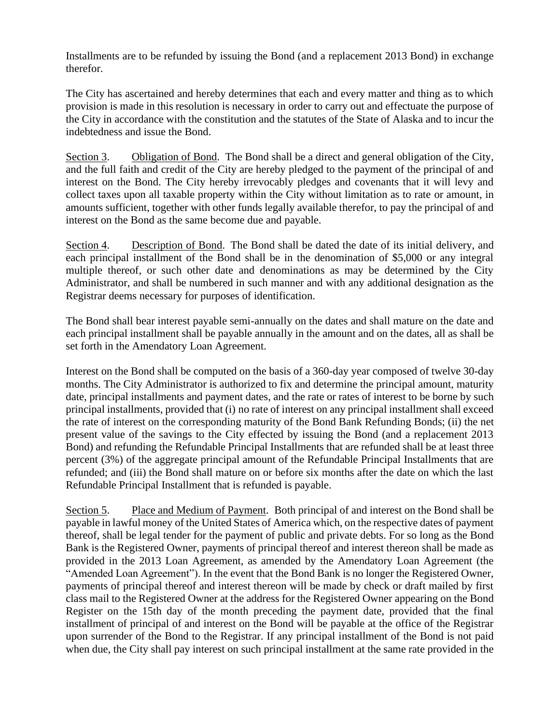Installments are to be refunded by issuing the Bond (and a replacement 2013 Bond) in exchange therefor.

The City has ascertained and hereby determines that each and every matter and thing as to which provision is made in this resolution is necessary in order to carry out and effectuate the purpose of the City in accordance with the constitution and the statutes of the State of Alaska and to incur the indebtedness and issue the Bond.

Section 3. Obligation of Bond. The Bond shall be a direct and general obligation of the City, and the full faith and credit of the City are hereby pledged to the payment of the principal of and interest on the Bond. The City hereby irrevocably pledges and covenants that it will levy and collect taxes upon all taxable property within the City without limitation as to rate or amount, in amounts sufficient, together with other funds legally available therefor, to pay the principal of and interest on the Bond as the same become due and payable.

Section 4. Description of Bond. The Bond shall be dated the date of its initial delivery, and each principal installment of the Bond shall be in the denomination of \$5,000 or any integral multiple thereof, or such other date and denominations as may be determined by the City Administrator, and shall be numbered in such manner and with any additional designation as the Registrar deems necessary for purposes of identification.

The Bond shall bear interest payable semi-annually on the dates and shall mature on the date and each principal installment shall be payable annually in the amount and on the dates, all as shall be set forth in the Amendatory Loan Agreement.

Interest on the Bond shall be computed on the basis of a 360-day year composed of twelve 30-day months. The City Administrator is authorized to fix and determine the principal amount, maturity date, principal installments and payment dates, and the rate or rates of interest to be borne by such principal installments, provided that (i) no rate of interest on any principal installment shall exceed the rate of interest on the corresponding maturity of the Bond Bank Refunding Bonds; (ii) the net present value of the savings to the City effected by issuing the Bond (and a replacement 2013 Bond) and refunding the Refundable Principal Installments that are refunded shall be at least three percent (3%) of the aggregate principal amount of the Refundable Principal Installments that are refunded; and (iii) the Bond shall mature on or before six months after the date on which the last Refundable Principal Installment that is refunded is payable.

Section 5. Place and Medium of Payment. Both principal of and interest on the Bond shall be payable in lawful money of the United States of America which, on the respective dates of payment thereof, shall be legal tender for the payment of public and private debts. For so long as the Bond Bank is the Registered Owner, payments of principal thereof and interest thereon shall be made as provided in the 2013 Loan Agreement, as amended by the Amendatory Loan Agreement (the "Amended Loan Agreement"). In the event that the Bond Bank is no longer the Registered Owner, payments of principal thereof and interest thereon will be made by check or draft mailed by first class mail to the Registered Owner at the address for the Registered Owner appearing on the Bond Register on the 15th day of the month preceding the payment date, provided that the final installment of principal of and interest on the Bond will be payable at the office of the Registrar upon surrender of the Bond to the Registrar. If any principal installment of the Bond is not paid when due, the City shall pay interest on such principal installment at the same rate provided in the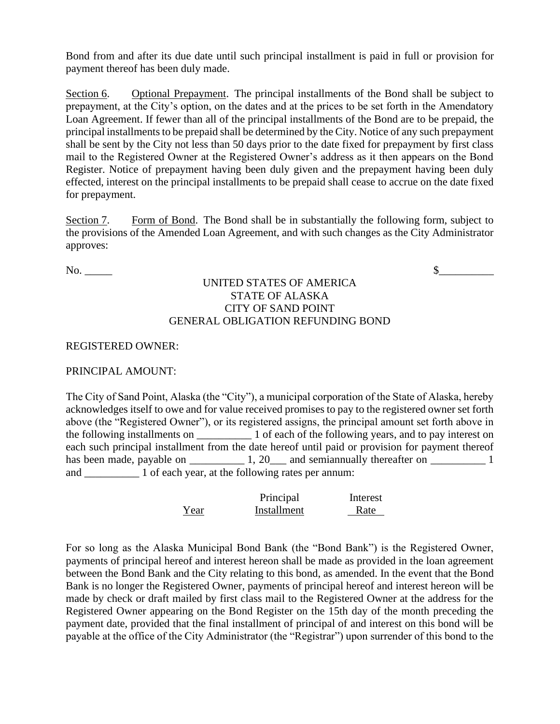Bond from and after its due date until such principal installment is paid in full or provision for payment thereof has been duly made.

Section 6. Optional Prepayment. The principal installments of the Bond shall be subject to prepayment, at the City's option, on the dates and at the prices to be set forth in the Amendatory Loan Agreement. If fewer than all of the principal installments of the Bond are to be prepaid, the principal installments to be prepaid shall be determined by the City. Notice of any such prepayment shall be sent by the City not less than 50 days prior to the date fixed for prepayment by first class mail to the Registered Owner at the Registered Owner's address as it then appears on the Bond Register. Notice of prepayment having been duly given and the prepayment having been duly effected, interest on the principal installments to be prepaid shall cease to accrue on the date fixed for prepayment.

Section 7. Form of Bond. The Bond shall be in substantially the following form, subject to the provisions of the Amended Loan Agreement, and with such changes as the City Administrator approves:

No. \_\_\_\_\_ \$\_\_\_\_\_\_\_\_\_\_

## UNITED STATES OF AMERICA STATE OF ALASKA CITY OF SAND POINT GENERAL OBLIGATION REFUNDING BOND

### REGISTERED OWNER:

### PRINCIPAL AMOUNT:

The City of Sand Point, Alaska (the "City"), a municipal corporation of the State of Alaska, hereby acknowledges itself to owe and for value received promises to pay to the registered owner set forth above (the "Registered Owner"), or its registered assigns, the principal amount set forth above in the following installments on  $\qquad$  1 of each of the following years, and to pay interest on each such principal installment from the date hereof until paid or provision for payment thereof has been made, payable on  $1, 20$  and semiannually thereafter on  $1$ and \_\_\_\_\_\_\_\_\_\_\_ 1 of each year, at the following rates per annum:

|      | Principal   | Interest |
|------|-------------|----------|
| Year | Installment | Rate     |

For so long as the Alaska Municipal Bond Bank (the "Bond Bank") is the Registered Owner, payments of principal hereof and interest hereon shall be made as provided in the loan agreement between the Bond Bank and the City relating to this bond, as amended. In the event that the Bond Bank is no longer the Registered Owner, payments of principal hereof and interest hereon will be made by check or draft mailed by first class mail to the Registered Owner at the address for the Registered Owner appearing on the Bond Register on the 15th day of the month preceding the payment date, provided that the final installment of principal of and interest on this bond will be payable at the office of the City Administrator (the "Registrar") upon surrender of this bond to the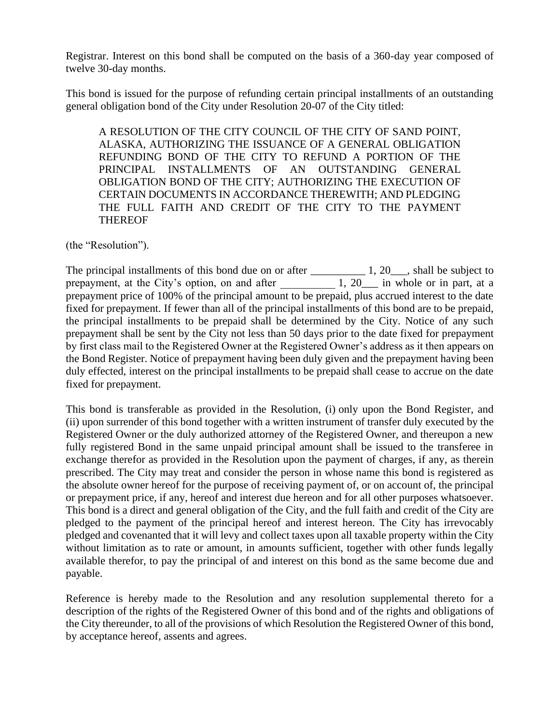Registrar. Interest on this bond shall be computed on the basis of a 360-day year composed of twelve 30-day months.

This bond is issued for the purpose of refunding certain principal installments of an outstanding general obligation bond of the City under Resolution 20-07 of the City titled:

A RESOLUTION OF THE CITY COUNCIL OF THE CITY OF SAND POINT, ALASKA, AUTHORIZING THE ISSUANCE OF A GENERAL OBLIGATION REFUNDING BOND OF THE CITY TO REFUND A PORTION OF THE PRINCIPAL INSTALLMENTS OF AN OUTSTANDING GENERAL OBLIGATION BOND OF THE CITY; AUTHORIZING THE EXECUTION OF CERTAIN DOCUMENTS IN ACCORDANCE THEREWITH; AND PLEDGING THE FULL FAITH AND CREDIT OF THE CITY TO THE PAYMENT THEREOF

(the "Resolution").

The principal installments of this bond due on or after \_\_\_\_\_\_\_\_\_\_\_\_\_\_ 1, 20\_\_\_, shall be subject to prepayment, at the City's option, on and after 1, 20\_\_ in whole or in part, at a prepayment price of 100% of the principal amount to be prepaid, plus accrued interest to the date fixed for prepayment. If fewer than all of the principal installments of this bond are to be prepaid, the principal installments to be prepaid shall be determined by the City. Notice of any such prepayment shall be sent by the City not less than 50 days prior to the date fixed for prepayment by first class mail to the Registered Owner at the Registered Owner's address as it then appears on the Bond Register. Notice of prepayment having been duly given and the prepayment having been duly effected, interest on the principal installments to be prepaid shall cease to accrue on the date fixed for prepayment.

This bond is transferable as provided in the Resolution, (i) only upon the Bond Register, and (ii) upon surrender of this bond together with a written instrument of transfer duly executed by the Registered Owner or the duly authorized attorney of the Registered Owner, and thereupon a new fully registered Bond in the same unpaid principal amount shall be issued to the transferee in exchange therefor as provided in the Resolution upon the payment of charges, if any, as therein prescribed. The City may treat and consider the person in whose name this bond is registered as the absolute owner hereof for the purpose of receiving payment of, or on account of, the principal or prepayment price, if any, hereof and interest due hereon and for all other purposes whatsoever. This bond is a direct and general obligation of the City, and the full faith and credit of the City are pledged to the payment of the principal hereof and interest hereon. The City has irrevocably pledged and covenanted that it will levy and collect taxes upon all taxable property within the City without limitation as to rate or amount, in amounts sufficient, together with other funds legally available therefor, to pay the principal of and interest on this bond as the same become due and payable.

Reference is hereby made to the Resolution and any resolution supplemental thereto for a description of the rights of the Registered Owner of this bond and of the rights and obligations of the City thereunder, to all of the provisions of which Resolution the Registered Owner of this bond, by acceptance hereof, assents and agrees.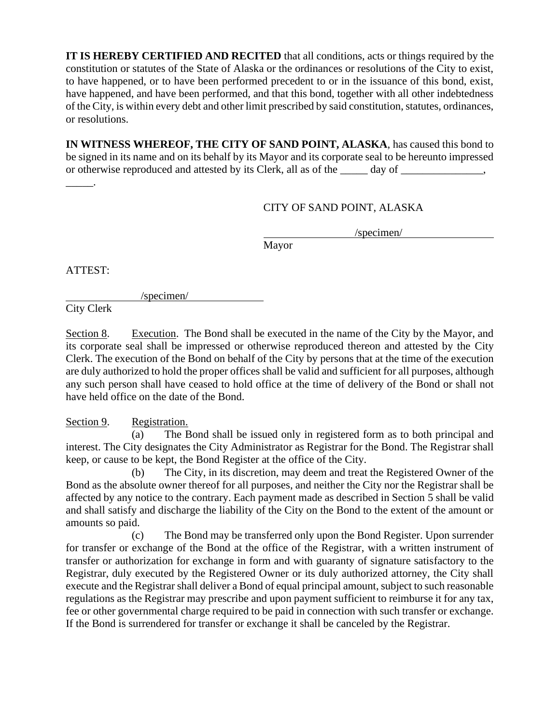**IT IS HEREBY CERTIFIED AND RECITED** that all conditions, acts or things required by the constitution or statutes of the State of Alaska or the ordinances or resolutions of the City to exist, to have happened, or to have been performed precedent to or in the issuance of this bond, exist, have happened, and have been performed, and that this bond, together with all other indebtedness of the City, is within every debt and other limit prescribed by said constitution, statutes, ordinances, or resolutions.

**IN WITNESS WHEREOF, THE CITY OF SAND POINT, ALASKA**, has caused this bond to be signed in its name and on its behalf by its Mayor and its corporate seal to be hereunto impressed or otherwise reproduced and attested by its Clerk, all as of the \_\_\_\_\_ day of \_\_\_\_\_\_\_\_\_\_\_\_,

CITY OF SAND POINT, ALASKA

/specimen/

Mayor

ATTEST:

\_\_\_\_\_.

/specimen/

City Clerk

Section 8. Execution. The Bond shall be executed in the name of the City by the Mayor, and its corporate seal shall be impressed or otherwise reproduced thereon and attested by the City Clerk. The execution of the Bond on behalf of the City by persons that at the time of the execution are duly authorized to hold the proper offices shall be valid and sufficient for all purposes, although any such person shall have ceased to hold office at the time of delivery of the Bond or shall not have held office on the date of the Bond.

Section 9. Registration.

(a) The Bond shall be issued only in registered form as to both principal and interest. The City designates the City Administrator as Registrar for the Bond. The Registrar shall keep, or cause to be kept, the Bond Register at the office of the City.

(b) The City, in its discretion, may deem and treat the Registered Owner of the Bond as the absolute owner thereof for all purposes, and neither the City nor the Registrar shall be affected by any notice to the contrary. Each payment made as described in Section 5 shall be valid and shall satisfy and discharge the liability of the City on the Bond to the extent of the amount or amounts so paid.

(c) The Bond may be transferred only upon the Bond Register. Upon surrender for transfer or exchange of the Bond at the office of the Registrar, with a written instrument of transfer or authorization for exchange in form and with guaranty of signature satisfactory to the Registrar, duly executed by the Registered Owner or its duly authorized attorney, the City shall execute and the Registrar shall deliver a Bond of equal principal amount, subject to such reasonable regulations as the Registrar may prescribe and upon payment sufficient to reimburse it for any tax, fee or other governmental charge required to be paid in connection with such transfer or exchange. If the Bond is surrendered for transfer or exchange it shall be canceled by the Registrar.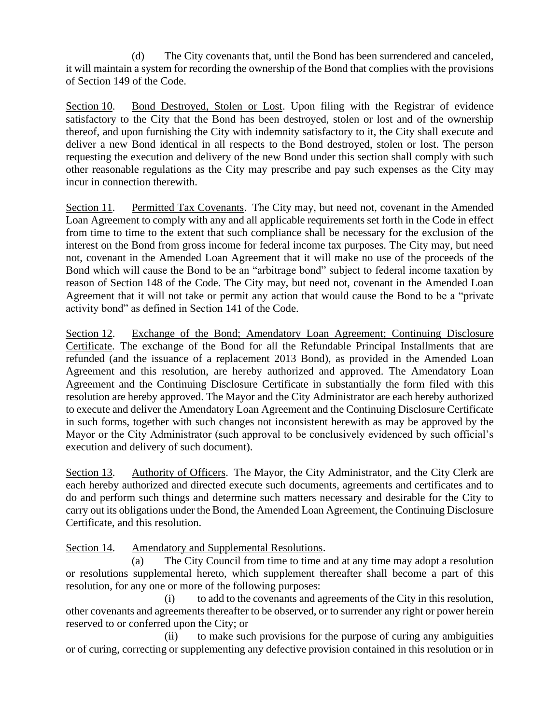(d) The City covenants that, until the Bond has been surrendered and canceled, it will maintain a system for recording the ownership of the Bond that complies with the provisions of Section 149 of the Code.

Section 10. Bond Destroyed, Stolen or Lost. Upon filing with the Registrar of evidence satisfactory to the City that the Bond has been destroyed, stolen or lost and of the ownership thereof, and upon furnishing the City with indemnity satisfactory to it, the City shall execute and deliver a new Bond identical in all respects to the Bond destroyed, stolen or lost. The person requesting the execution and delivery of the new Bond under this section shall comply with such other reasonable regulations as the City may prescribe and pay such expenses as the City may incur in connection therewith.

Section 11. Permitted Tax Covenants. The City may, but need not, covenant in the Amended Loan Agreement to comply with any and all applicable requirements set forth in the Code in effect from time to time to the extent that such compliance shall be necessary for the exclusion of the interest on the Bond from gross income for federal income tax purposes. The City may, but need not, covenant in the Amended Loan Agreement that it will make no use of the proceeds of the Bond which will cause the Bond to be an "arbitrage bond" subject to federal income taxation by reason of Section 148 of the Code. The City may, but need not, covenant in the Amended Loan Agreement that it will not take or permit any action that would cause the Bond to be a "private activity bond" as defined in Section 141 of the Code.

Section 12. Exchange of the Bond; Amendatory Loan Agreement; Continuing Disclosure Certificate. The exchange of the Bond for all the Refundable Principal Installments that are refunded (and the issuance of a replacement 2013 Bond), as provided in the Amended Loan Agreement and this resolution, are hereby authorized and approved. The Amendatory Loan Agreement and the Continuing Disclosure Certificate in substantially the form filed with this resolution are hereby approved. The Mayor and the City Administrator are each hereby authorized to execute and deliver the Amendatory Loan Agreement and the Continuing Disclosure Certificate in such forms, together with such changes not inconsistent herewith as may be approved by the Mayor or the City Administrator (such approval to be conclusively evidenced by such official's execution and delivery of such document).

Section 13. Authority of Officers. The Mayor, the City Administrator, and the City Clerk are each hereby authorized and directed execute such documents, agreements and certificates and to do and perform such things and determine such matters necessary and desirable for the City to carry out its obligations under the Bond, the Amended Loan Agreement, the Continuing Disclosure Certificate, and this resolution.

Section 14. Amendatory and Supplemental Resolutions.

(a) The City Council from time to time and at any time may adopt a resolution or resolutions supplemental hereto, which supplement thereafter shall become a part of this resolution, for any one or more of the following purposes:

(i) to add to the covenants and agreements of the City in this resolution, other covenants and agreements thereafter to be observed, or to surrender any right or power herein reserved to or conferred upon the City; or

(ii) to make such provisions for the purpose of curing any ambiguities or of curing, correcting or supplementing any defective provision contained in this resolution or in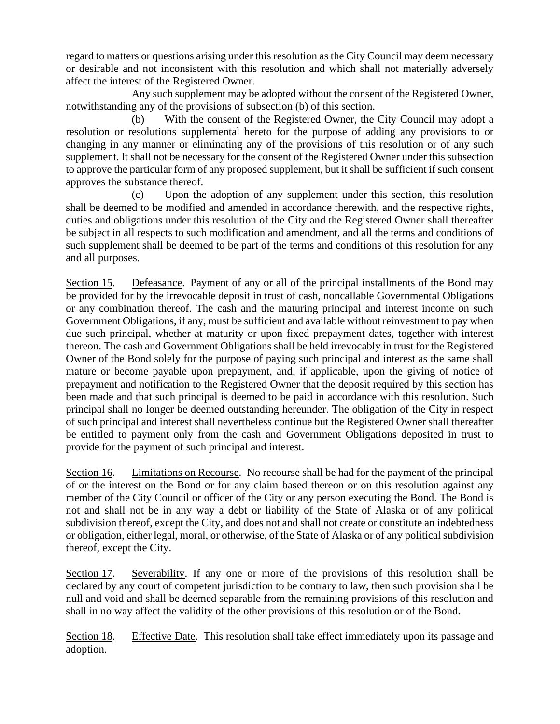regard to matters or questions arising under this resolution as the City Council may deem necessary or desirable and not inconsistent with this resolution and which shall not materially adversely affect the interest of the Registered Owner.

Any such supplement may be adopted without the consent of the Registered Owner, notwithstanding any of the provisions of subsection (b) of this section.

(b) With the consent of the Registered Owner, the City Council may adopt a resolution or resolutions supplemental hereto for the purpose of adding any provisions to or changing in any manner or eliminating any of the provisions of this resolution or of any such supplement. It shall not be necessary for the consent of the Registered Owner under this subsection to approve the particular form of any proposed supplement, but it shall be sufficient if such consent approves the substance thereof.

(c) Upon the adoption of any supplement under this section, this resolution shall be deemed to be modified and amended in accordance therewith, and the respective rights, duties and obligations under this resolution of the City and the Registered Owner shall thereafter be subject in all respects to such modification and amendment, and all the terms and conditions of such supplement shall be deemed to be part of the terms and conditions of this resolution for any and all purposes.

Section 15. Defeasance. Payment of any or all of the principal installments of the Bond may be provided for by the irrevocable deposit in trust of cash, noncallable Governmental Obligations or any combination thereof. The cash and the maturing principal and interest income on such Government Obligations, if any, must be sufficient and available without reinvestment to pay when due such principal, whether at maturity or upon fixed prepayment dates, together with interest thereon. The cash and Government Obligations shall be held irrevocably in trust for the Registered Owner of the Bond solely for the purpose of paying such principal and interest as the same shall mature or become payable upon prepayment, and, if applicable, upon the giving of notice of prepayment and notification to the Registered Owner that the deposit required by this section has been made and that such principal is deemed to be paid in accordance with this resolution. Such principal shall no longer be deemed outstanding hereunder. The obligation of the City in respect of such principal and interest shall nevertheless continue but the Registered Owner shall thereafter be entitled to payment only from the cash and Government Obligations deposited in trust to provide for the payment of such principal and interest.

Section 16. Limitations on Recourse. No recourse shall be had for the payment of the principal of or the interest on the Bond or for any claim based thereon or on this resolution against any member of the City Council or officer of the City or any person executing the Bond. The Bond is not and shall not be in any way a debt or liability of the State of Alaska or of any political subdivision thereof, except the City, and does not and shall not create or constitute an indebtedness or obligation, either legal, moral, or otherwise, of the State of Alaska or of any political subdivision thereof, except the City.

Section 17. Severability. If any one or more of the provisions of this resolution shall be declared by any court of competent jurisdiction to be contrary to law, then such provision shall be null and void and shall be deemed separable from the remaining provisions of this resolution and shall in no way affect the validity of the other provisions of this resolution or of the Bond.

Section 18. Effective Date. This resolution shall take effect immediately upon its passage and adoption.